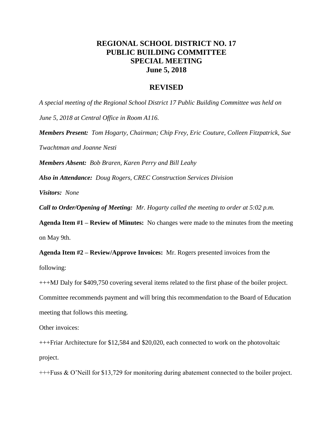## **REGIONAL SCHOOL DISTRICT NO. 17 PUBLIC BUILDING COMMITTEE SPECIAL MEETING June 5, 2018**

## **REVISED**

*A special meeting of the Regional School District 17 Public Building Committee was held on* 

*June 5, 2018 at Central Office in Room A116.*

*Members Present: Tom Hogarty, Chairman; Chip Frey, Eric Couture, Colleen Fitzpatrick, Sue Twachtman and Joanne Nesti*

*Members Absent: Bob Braren, Karen Perry and Bill Leahy*

*Also in Attendance: Doug Rogers, CREC Construction Services Division*

*Visitors: None*

*Call to Order/Opening of Meeting: Mr. Hogarty called the meeting to order at 5:02 p.m.*

**Agenda Item #1 – Review of Minutes:** No changes were made to the minutes from the meeting on May 9th.

**Agenda Item #2 – Review/Approve Invoices:** Mr. Rogers presented invoices from the following:

+++MJ Daly for \$409,750 covering several items related to the first phase of the boiler project.

Committee recommends payment and will bring this recommendation to the Board of Education meeting that follows this meeting.

Other invoices:

+++Friar Architecture for \$12,584 and \$20,020, each connected to work on the photovoltaic project.

+++Fuss & O'Neill for \$13,729 for monitoring during abatement connected to the boiler project.